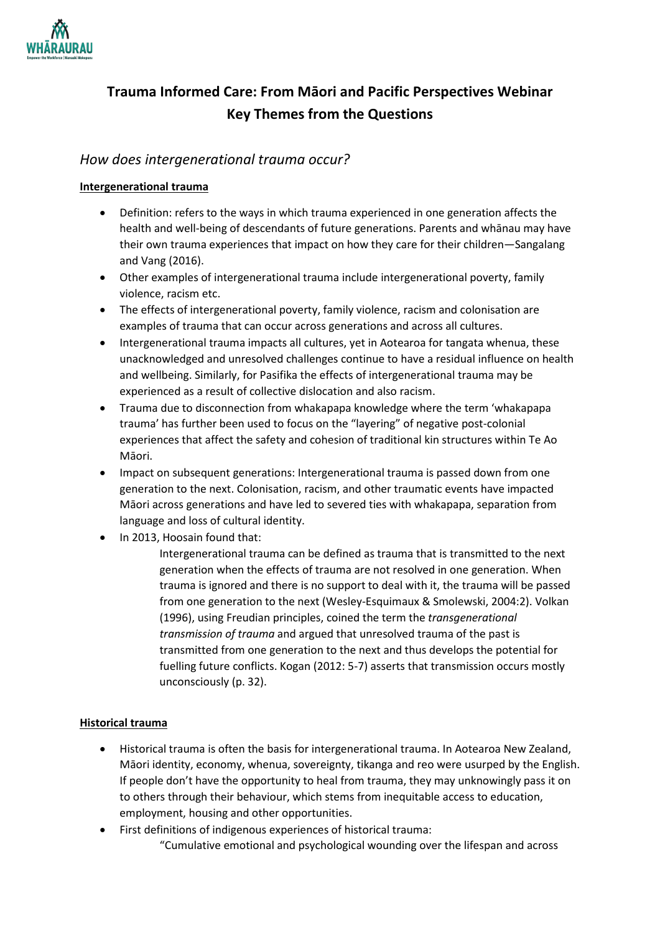

# **Trauma Informed Care: From Māori and Pacific Perspectives Webinar Key Themes from the Questions**

## *How does intergenerational trauma occur?*

## **Intergenerational trauma**

- Definition: refers to the ways in which trauma experienced in one generation affects the health and well-being of descendants of future generations. Parents and whānau may have their own trauma experiences that impact on how they care for their children—Sangalang and Vang (2016).
- Other examples of intergenerational trauma include intergenerational poverty, family violence, racism etc.
- The effects of intergenerational poverty, family violence, racism and colonisation are examples of trauma that can occur across generations and across all cultures.
- Intergenerational trauma impacts all cultures, yet in Aotearoa for tangata whenua, these unacknowledged and unresolved challenges continue to have a residual influence on health and wellbeing. Similarly, for Pasifika the effects of intergenerational trauma may be experienced as a result of collective dislocation and also racism.
- Trauma due to disconnection from whakapapa knowledge where the term 'whakapapa trauma' has further been used to focus on the "layering" of negative post-colonial experiences that affect the safety and cohesion of traditional kin structures within Te Ao Māori.
- Impact on subsequent generations: Intergenerational trauma is passed down from one generation to the next. Colonisation, racism, and other traumatic events have impacted Māori across generations and have led to severed ties with whakapapa, separation from language and loss of cultural identity.
- In 2013, Hoosain found that:
	- Intergenerational trauma can be defined as trauma that is transmitted to the next generation when the effects of trauma are not resolved in one generation. When trauma is ignored and there is no support to deal with it, the trauma will be passed from one generation to the next (Wesley-Esquimaux & Smolewski, 2004:2). Volkan (1996), using Freudian principles, coined the term the *transgenerational transmission of trauma* and argued that unresolved trauma of the past is transmitted from one generation to the next and thus develops the potential for fuelling future conflicts. Kogan (2012: 5-7) asserts that transmission occurs mostly unconsciously (p. 32).

## **Historical trauma**

- Historical trauma is often the basis for intergenerational trauma. In Aotearoa New Zealand, Māori identity, economy, whenua, sovereignty, tikanga and reo were usurped by the English. If people don't have the opportunity to heal from trauma, they may unknowingly pass it on to others through their behaviour, which stems from inequitable access to education, employment, housing and other opportunities.
- First definitions of indigenous experiences of historical trauma: "Cumulative emotional and psychological wounding over the lifespan and across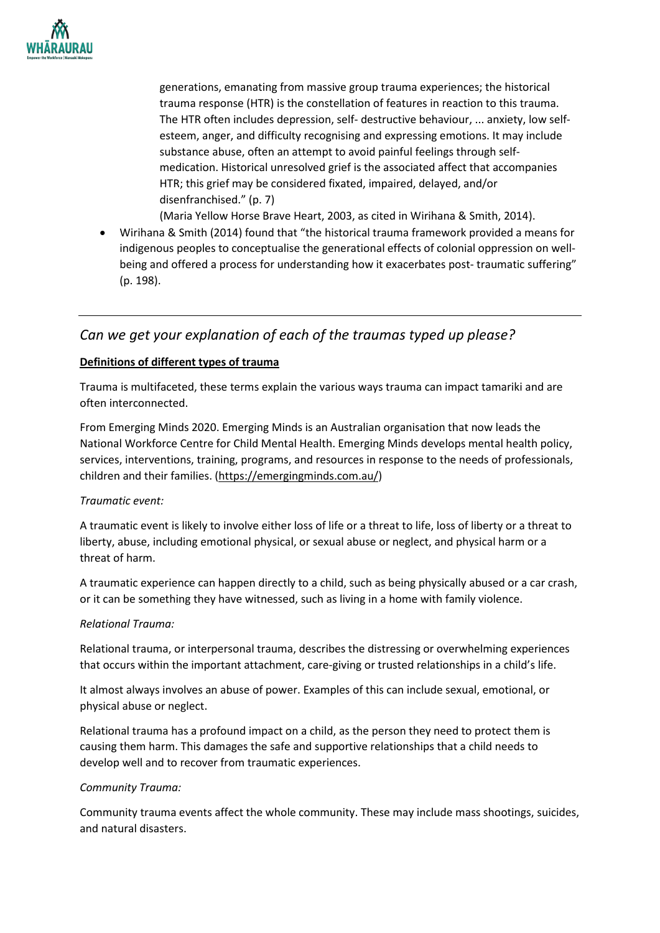

generations, emanating from massive group trauma experiences; the historical trauma response (HTR) is the constellation of features in reaction to this trauma. The HTR often includes depression, self- destructive behaviour, ... anxiety, low selfesteem, anger, and difficulty recognising and expressing emotions. It may include substance abuse, often an attempt to avoid painful feelings through selfmedication. Historical unresolved grief is the associated affect that accompanies HTR; this grief may be considered fixated, impaired, delayed, and/or disenfranchised." (p. 7)

(Maria Yellow Horse Brave Heart, 2003, as cited in Wirihana & Smith, 2014).

• Wirihana & Smith (2014) found that "the historical trauma framework provided a means for indigenous peoples to conceptualise the generational effects of colonial oppression on wellbeing and offered a process for understanding how it exacerbates post- traumatic suffering" (p. 198).

## *Can we get your explanation of each of the traumas typed up please?*

## **Definitions of different types of trauma**

Trauma is multifaceted, these terms explain the various ways trauma can impact tamariki and are often interconnected.

From Emerging Minds 2020. Emerging Minds is an Australian organisation that now leads the National Workforce Centre for Child Mental Health. Emerging Minds develops mental health policy, services, interventions, training, programs, and resources in response to the needs of professionals, children and their families. (<https://emergingminds.com.au/>)

## *Traumatic event:*

A traumatic event is likely to involve either loss of life or a threat to life, loss of liberty or a threat to liberty, abuse, including emotional physical, or sexual abuse or neglect, and physical harm or a threat of harm.

A traumatic experience can happen directly to a child, such as being physically abused or a car crash, or it can be something they have witnessed, such as living in a home with family violence.

### *Relational Trauma:*

Relational trauma, or interpersonal trauma, describes the distressing or overwhelming experiences that occurs within the important attachment, care-giving or trusted relationships in a child's life.

It almost always involves an abuse of power. Examples of this can include sexual, emotional, or physical abuse or neglect.

Relational trauma has a profound impact on a child, as the person they need to protect them is causing them harm. This damages the safe and supportive relationships that a child needs to develop well and to recover from traumatic experiences.

### *Community Trauma:*

Community trauma events affect the whole community. These may include mass shootings, suicides, and natural disasters.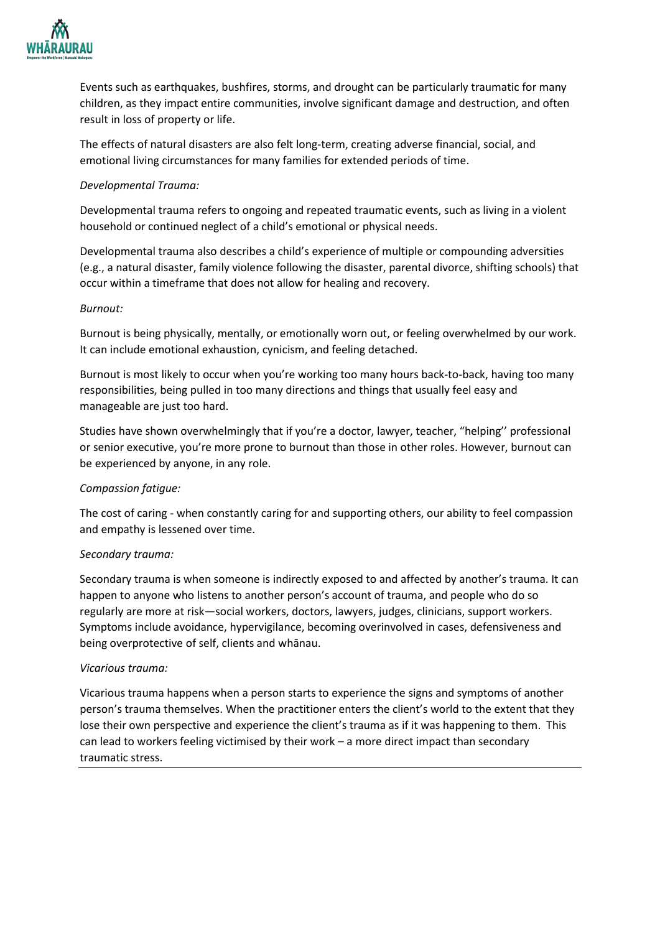

Events such as earthquakes, bushfires, storms, and drought can be particularly traumatic for many children, as they impact entire communities, involve significant damage and destruction, and often result in loss of property or life.

The effects of natural disasters are also felt long-term, creating adverse financial, social, and emotional living circumstances for many families for extended periods of time.

### *Developmental Trauma:*

Developmental trauma refers to ongoing and repeated traumatic events, such as living in a violent household or continued neglect of a child's emotional or physical needs.

Developmental trauma also describes a child's experience of multiple or compounding adversities (e.g., a natural disaster, family violence following the disaster, parental divorce, shifting schools) that occur within a timeframe that does not allow for healing and recovery.

### *Burnout:*

Burnout is being physically, mentally, or emotionally worn out, or feeling overwhelmed by our work. It can include emotional exhaustion, cynicism, and feeling detached.

Burnout is most likely to occur when you're working too many hours back-to-back, having too many responsibilities, being pulled in too many directions and things that usually feel easy and manageable are just too hard.

Studies have shown overwhelmingly that if you're a doctor, lawyer, teacher, "helping'' professional or senior executive, you're more prone to burnout than those in other roles. However, burnout can be experienced by anyone, in any role.

### *Compassion fatigue:*

The cost of caring - when constantly caring for and supporting others, our ability to feel compassion and empathy is lessened over time.

### *Secondary trauma:*

Secondary trauma is when someone is indirectly exposed to and affected by another's trauma. It can happen to anyone who listens to another person's account of trauma, and people who do so regularly are more at risk—social workers, doctors, lawyers, judges, clinicians, support workers. Symptoms include avoidance, hypervigilance, becoming overinvolved in cases, defensiveness and being overprotective of self, clients and whānau.

### *Vicarious trauma:*

Vicarious trauma happens when a person starts to experience the signs and symptoms of another person's trauma themselves. When the practitioner enters the client's world to the extent that they lose their own perspective and experience the client's trauma as if it was happening to them. This can lead to workers feeling victimised by their work – a more direct impact than secondary traumatic stress.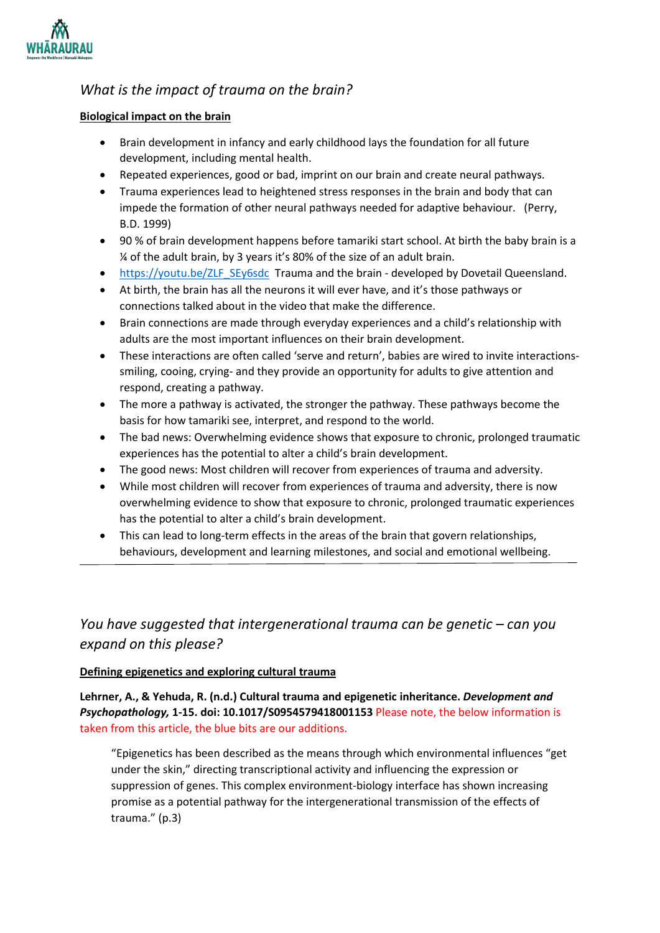

## *What is the impact of trauma on the brain?*

### **Biological impact on the brain**

- Brain development in infancy and early childhood lays the foundation for all future development, including mental health.
- Repeated experiences, good or bad, imprint on our brain and create neural pathways.
- Trauma experiences lead to heightened stress responses in the brain and body that can impede the formation of other neural pathways needed for adaptive behaviour. (Perry, B.D. 1999)
- 90 % of brain development happens before tamariki start school. At birth the baby brain is a ¼ of the adult brain, by 3 years it's 80% of the size of an adult brain.
- [https://youtu.be/ZLF\\_SEy6sdc](https://youtu.be/ZLF_SEy6sdc)\_Trauma and the brain developed by Dovetail Queensland.
- At birth, the brain has all the neurons it will ever have, and it's those pathways or connections talked about in the video that make the difference.
- Brain connections are made through everyday experiences and a child's relationship with adults are the most important influences on their brain development.
- These interactions are often called 'serve and return', babies are wired to invite interactionssmiling, cooing, crying- and they provide an opportunity for adults to give attention and respond, creating a pathway.
- The more a pathway is activated, the stronger the pathway. These pathways become the basis for how tamariki see, interpret, and respond to the world.
- The bad news: Overwhelming evidence shows that exposure to chronic, prolonged traumatic experiences has the potential to alter a child's brain development.
- The good news: Most children will recover from experiences of trauma and adversity.
- While most children will recover from experiences of trauma and adversity, there is now overwhelming evidence to show that exposure to chronic, prolonged traumatic experiences has the potential to alter a child's brain development.
- This can lead to long-term effects in the areas of the brain that govern relationships, behaviours, development and learning milestones, and social and emotional wellbeing.

# *You have suggested that intergenerational trauma can be genetic – can you expand on this please?*

## **Defining epigenetics and exploring cultural trauma**

**Lehrner, A., & Yehuda, R. (n.d.) Cultural trauma and epigenetic inheritance.** *Development and Psychopathology,* **1-15. doi: 10.1017/S0954579418001153** Please note, the below information is taken from this article, the blue bits are our additions.

"Epigenetics has been described as the means through which environmental influences "get under the skin," directing transcriptional activity and influencing the expression or suppression of genes. This complex environment-biology interface has shown increasing promise as a potential pathway for the intergenerational transmission of the effects of trauma." (p.3)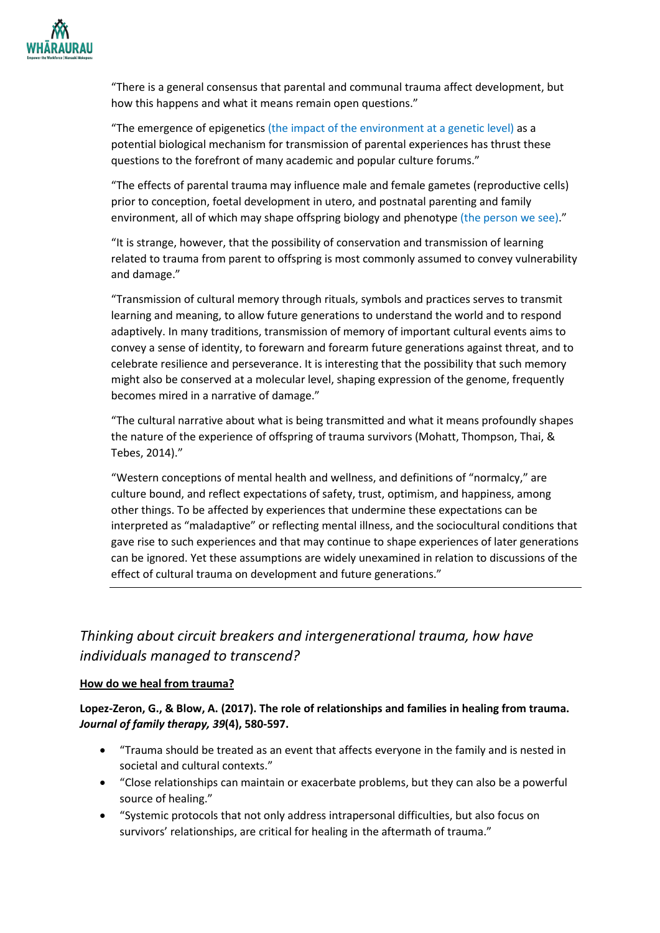

"There is a general consensus that parental and communal trauma affect development, but how this happens and what it means remain open questions."

"The emergence of epigenetics (the impact of the environment at a genetic level) as a potential biological mechanism for transmission of parental experiences has thrust these questions to the forefront of many academic and popular culture forums."

"The effects of parental trauma may influence male and female gametes (reproductive cells) prior to conception, foetal development in utero, and postnatal parenting and family environment, all of which may shape offspring biology and phenotype (the person we see)."

"It is strange, however, that the possibility of conservation and transmission of learning related to trauma from parent to offspring is most commonly assumed to convey vulnerability and damage."

"Transmission of cultural memory through rituals, symbols and practices serves to transmit learning and meaning, to allow future generations to understand the world and to respond adaptively. In many traditions, transmission of memory of important cultural events aims to convey a sense of identity, to forewarn and forearm future generations against threat, and to celebrate resilience and perseverance. It is interesting that the possibility that such memory might also be conserved at a molecular level, shaping expression of the genome, frequently becomes mired in a narrative of damage."

"The cultural narrative about what is being transmitted and what it means profoundly shapes the nature of the experience of offspring of trauma survivors (Mohatt, Thompson, Thai, & Tebes, 2014)."

"Western conceptions of mental health and wellness, and definitions of "normalcy," are culture bound, and reflect expectations of safety, trust, optimism, and happiness, among other things. To be affected by experiences that undermine these expectations can be interpreted as "maladaptive" or reflecting mental illness, and the sociocultural conditions that gave rise to such experiences and that may continue to shape experiences of later generations can be ignored. Yet these assumptions are widely unexamined in relation to discussions of the effect of cultural trauma on development and future generations."

# *Thinking about circuit breakers and intergenerational trauma, how have individuals managed to transcend?*

## **How do we heal from trauma?**

**Lopez-Zeron, G., & Blow, A. (2017). The role of relationships and families in healing from trauma.**  *Journal of family therapy, 39***(4), 580-597.** 

- "Trauma should be treated as an event that affects everyone in the family and is nested in societal and cultural contexts."
- "Close relationships can maintain or exacerbate problems, but they can also be a powerful source of healing."
- "Systemic protocols that not only address intrapersonal difficulties, but also focus on survivors' relationships, are critical for healing in the aftermath of trauma."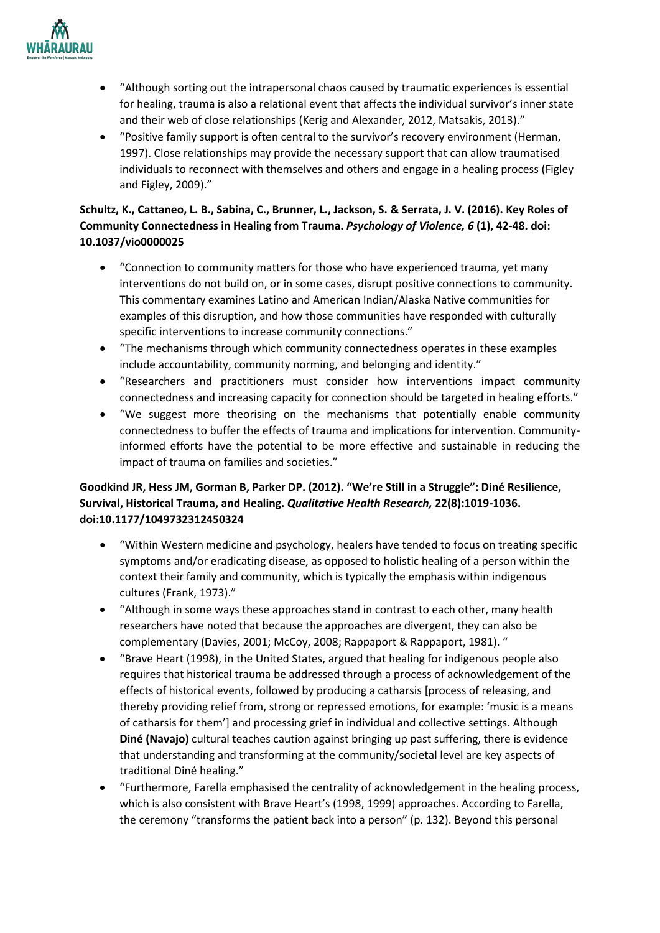

- "Although sorting out the intrapersonal chaos caused by traumatic experiences is essential for healing, trauma is also a relational event that affects the individual survivor's inner state and their web of close relationships (Kerig and Alexander, 2012, Matsakis, 2013)."
- "Positive family support is often central to the survivor's recovery environment (Herman, 1997). Close relationships may provide the necessary support that can allow traumatised individuals to reconnect with themselves and others and engage in a healing process (Figley and Figley, 2009)."

## **Schultz, K., Cattaneo, L. B., Sabina, C., Brunner, L., Jackson, S. & Serrata, J. V. (2016). Key Roles of Community Connectedness in Healing from Trauma.** *Psychology of Violence, 6* **(1), 42-48. doi: 10.1037/vio0000025**

- "Connection to community matters for those who have experienced trauma, yet many interventions do not build on, or in some cases, disrupt positive connections to community. This commentary examines Latino and American Indian/Alaska Native communities for examples of this disruption, and how those communities have responded with culturally specific interventions to increase community connections."
- "The mechanisms through which community connectedness operates in these examples include accountability, community norming, and belonging and identity."
- "Researchers and practitioners must consider how interventions impact community connectedness and increasing capacity for connection should be targeted in healing efforts."
- "We suggest more theorising on the mechanisms that potentially enable community connectedness to buffer the effects of trauma and implications for intervention. Communityinformed efforts have the potential to be more effective and sustainable in reducing the impact of trauma on families and societies."

## **Goodkind JR, Hess JM, Gorman B, Parker DP. (2012). "We're Still in a Struggle": Diné Resilience, Survival, Historical Trauma, and Healing.** *Qualitative Health Research,* **22(8):1019-1036. doi[:10.1177/1049732312450324](https://doi-org.ezproxy.auckland.ac.nz/10.1177/1049732312450324)**

- "Within Western medicine and psychology, healers have tended to focus on treating specific symptoms and/or eradicating disease, as opposed to holistic healing of a person within the context their family and community, which is typically the emphasis within indigenous cultures ([Frank, 1973](https://journals-sagepub-com.ezproxy.auckland.ac.nz/doi/full/10.1177/1049732312450324))."
- "Although in some ways these approaches stand in contrast to each other, many health researchers have noted that because the approaches are divergent, they can also be complementary ([Davies, 2001;](https://journals-sagepub-com.ezproxy.auckland.ac.nz/doi/full/10.1177/1049732312450324) [McCoy, 2008;](https://journals-sagepub-com.ezproxy.auckland.ac.nz/doi/full/10.1177/1049732312450324) [Rappaport & Rappaport, 1981](https://journals-sagepub-com.ezproxy.auckland.ac.nz/doi/full/10.1177/1049732312450324)). "
- "[Brave Heart \(1998\),](https://journals-sagepub-com.ezproxy.auckland.ac.nz/doi/full/10.1177/1049732312450324) in the United States, argued that healing for indigenous people also requires that historical trauma be addressed through a process of acknowledgement of the effects of historical events, followed by producing a catharsis [process of releasing, and thereby providing relief from, strong or repressed emotions, for example: 'music is a means of catharsis for them'] and processing grief in individual and collective settings. Although **Diné (Navajo)** cultural teaches caution against bringing up past suffering, there is evidence that understanding and transforming at the community/societal level are key aspects of traditional Diné healing."
- "Furthermore, Farella emphasised the centrality of acknowledgement in the healing process, which is also consistent with [Brave Heart's \(1998,](https://journals-sagepub-com.ezproxy.auckland.ac.nz/doi/full/10.1177/1049732312450324) [1999\)](https://journals-sagepub-com.ezproxy.auckland.ac.nz/doi/full/10.1177/1049732312450324) approaches. According to Farella, the ceremony "transforms the patient back into a person" (p. 132). Beyond this personal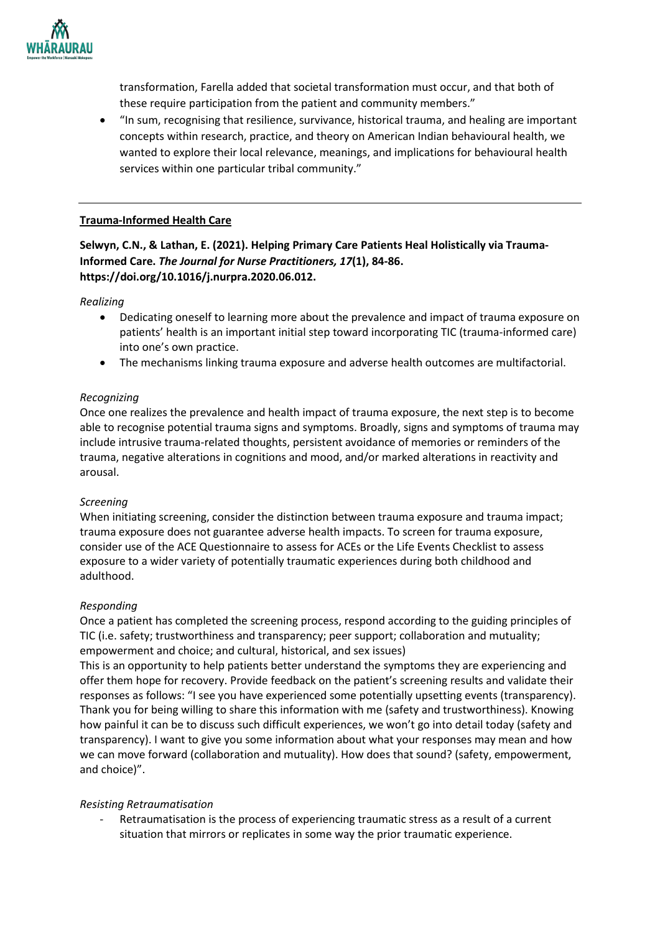

transformation, Farella added that societal transformation must occur, and that both of these require participation from the patient and community members."

• "In sum, recognising that resilience, survivance, historical trauma, and healing are important concepts within research, practice, and theory on American Indian behavioural health, we wanted to explore their local relevance, meanings, and implications for behavioural health services within one particular tribal community."

### **Trauma-Informed Health Care**

## **Selwyn, C.N., & Lathan, E. (2021). Helping Primary Care Patients Heal Holistically via Trauma-Informed Care.** *The Journal for Nurse Practitioners, 17***(1), 84-86. https://doi.org/10.1016/j.nurpra.2020.06.012.**

#### *Realizing*

- Dedicating oneself to learning more about the prevalence and impact of trauma exposure on patients' health is an important initial step toward incorporating TIC (trauma-informed care) into one's own practice.
- The mechanisms linking trauma exposure and adverse health outcomes are multifactorial.

### *Recognizing*

Once one realizes the prevalence and health impact of trauma exposure, the next step is to become able to recognise potential trauma signs and symptoms. Broadly, signs and symptoms of trauma may include intrusive trauma-related thoughts, persistent avoidance of memories or reminders of the trauma, negative alterations in cognitions and mood, and/or marked alterations in reactivity and arousal.

### *Screening*

When initiating screening, consider the distinction between trauma exposure and trauma impact; trauma exposure does not guarantee adverse health impacts. To screen for trauma exposure, consider use of the ACE Questionnaire to assess for ACEs or the Life Events Checklist to assess exposure to a wider variety of potentially traumatic experiences during both childhood and adulthood.

### *Responding*

Once a patient has completed the screening process, respond according to the guiding principles of TIC (i.e. safety; trustworthiness and transparency; peer support; collaboration and mutuality; empowerment and choice; and cultural, historical, and sex issues)

This is an opportunity to help patients better understand the symptoms they are experiencing and offer them hope for recovery. Provide feedback on the patient's screening results and validate their responses as follows: "I see you have experienced some potentially upsetting events (transparency). Thank you for being willing to share this information with me (safety and trustworthiness). Knowing how painful it can be to discuss such difficult experiences, we won't go into detail today (safety and transparency). I want to give you some information about what your responses may mean and how we can move forward (collaboration and mutuality). How does that sound? (safety, empowerment, and choice)".

### *Resisting Retraumatisation*

Retraumatisation is the process of experiencing traumatic stress as a result of a current situation that mirrors or replicates in some way the prior traumatic experience.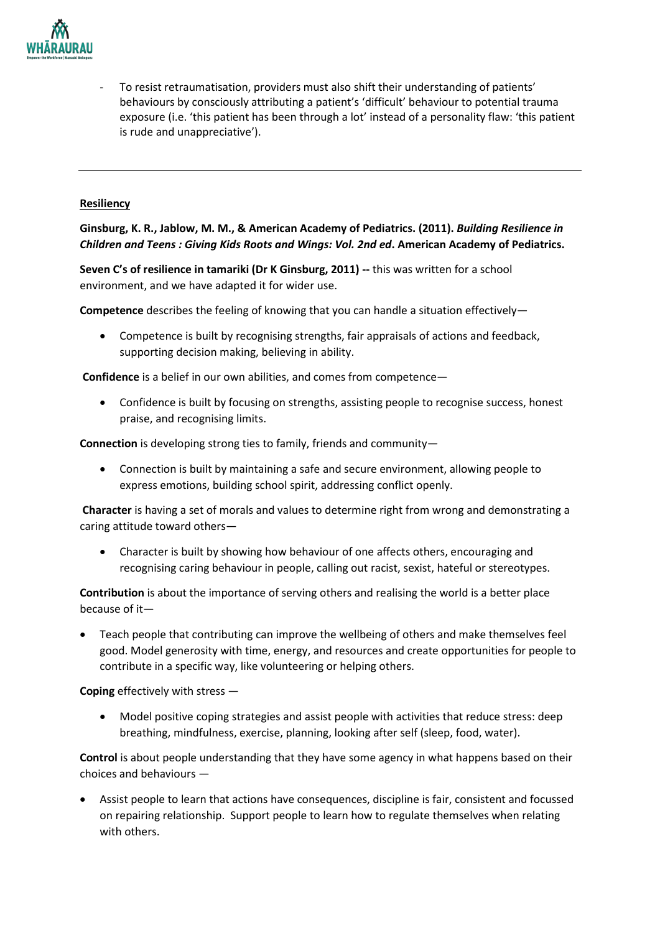

To resist retraumatisation, providers must also shift their understanding of patients' behaviours by consciously attributing a patient's 'difficult' behaviour to potential trauma exposure (i.e. 'this patient has been through a lot' instead of a personality flaw: 'this patient is rude and unappreciative').

### **Resiliency**

**Ginsburg, K. R., Jablow, M. M., & American Academy of Pediatrics. (2011).** *Building Resilience in Children and Teens : Giving Kids Roots and Wings: Vol. 2nd ed***. American Academy of Pediatrics.**

**Seven C's of resilience in tamariki (Dr K Ginsburg, 2011) --** this was written for a school environment, and we have adapted it for wider use.

**Competence** describes the feeling of knowing that you can handle a situation effectively—

• Competence is built by recognising strengths, fair appraisals of actions and feedback, supporting decision making, believing in ability.

**Confidence** is a belief in our own abilities, and comes from competence—

• Confidence is built by focusing on strengths, assisting people to recognise success, honest praise, and recognising limits.

**Connection** is developing strong ties to family, friends and community—

• Connection is built by maintaining a safe and secure environment, allowing people to express emotions, building school spirit, addressing conflict openly.

**Character** is having a set of morals and values to determine right from wrong and demonstrating a caring attitude toward others—

• Character is built by showing how behaviour of one affects others, encouraging and recognising caring behaviour in people, calling out racist, sexist, hateful or stereotypes.

**Contribution** is about the importance of serving others and realising the world is a better place because of it—

• Teach people that contributing can improve the wellbeing of others and make themselves feel good. Model generosity with time, energy, and resources and create opportunities for people to contribute in a specific way, like volunteering or helping others.

**Coping** effectively with stress —

• Model positive coping strategies and assist people with activities that reduce stress: deep breathing, mindfulness, exercise, planning, looking after self (sleep, food, water).

**Control** is about people understanding that they have some agency in what happens based on their choices and behaviours —

Assist people to learn that actions have consequences, discipline is fair, consistent and focussed on repairing relationship. Support people to learn how to regulate themselves when relating with others.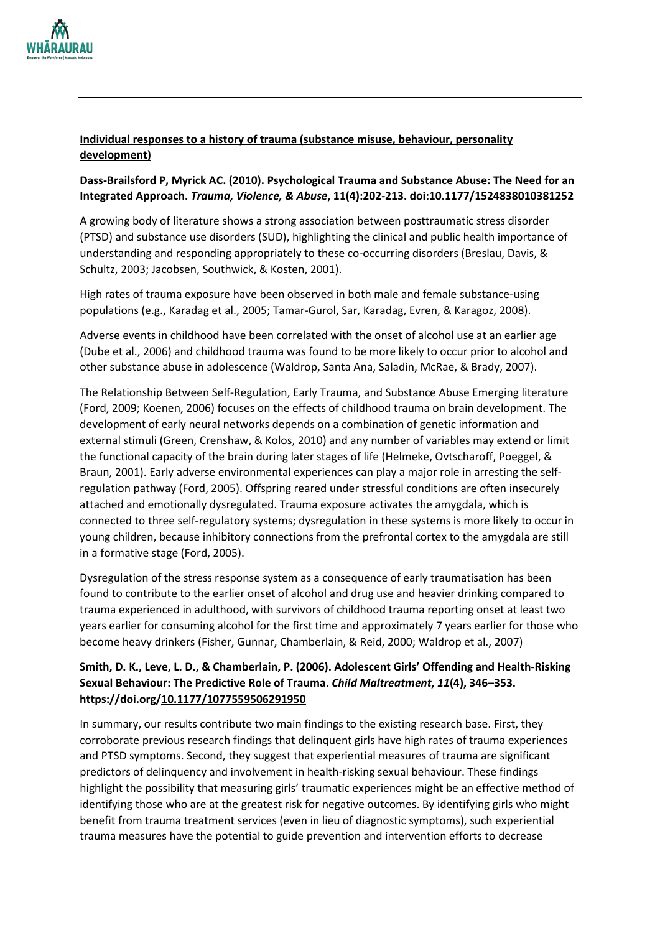

## **Individual responses to a history of trauma (substance misuse, behaviour, personality development)**

## **Dass-Brailsford P, Myrick AC. (2010). Psychological Trauma and Substance Abuse: The Need for an Integrated Approach.** *Trauma, Violence, & Abuse***, 11(4):202-213. doi[:10.1177/1524838010381252](https://doi-org.ezproxy.auckland.ac.nz/10.1177/1524838010381252)**

A growing body of literature shows a strong association between posttraumatic stress disorder (PTSD) and substance use disorders (SUD), highlighting the clinical and public health importance of understanding and responding appropriately to these co-occurring disorders (Breslau, Davis, & Schultz, 2003; Jacobsen, Southwick, & Kosten, 2001).

High rates of trauma exposure have been observed in both male and female substance-using populations (e.g., Karadag et al., 2005; Tamar-Gurol, Sar, Karadag, Evren, & Karagoz, 2008).

Adverse events in childhood have been correlated with the onset of alcohol use at an earlier age (Dube et al., 2006) and childhood trauma was found to be more likely to occur prior to alcohol and other substance abuse in adolescence (Waldrop, Santa Ana, Saladin, McRae, & Brady, 2007).

The Relationship Between Self-Regulation, Early Trauma, and Substance Abuse Emerging literature (Ford, 2009; Koenen, 2006) focuses on the effects of childhood trauma on brain development. The development of early neural networks depends on a combination of genetic information and external stimuli (Green, Crenshaw, & Kolos, 2010) and any number of variables may extend or limit the functional capacity of the brain during later stages of life (Helmeke, Ovtscharoff, Poeggel, & Braun, 2001). Early adverse environmental experiences can play a major role in arresting the selfregulation pathway (Ford, 2005). Offspring reared under stressful conditions are often insecurely attached and emotionally dysregulated. Trauma exposure activates the amygdala, which is connected to three self-regulatory systems; dysregulation in these systems is more likely to occur in young children, because inhibitory connections from the prefrontal cortex to the amygdala are still in a formative stage (Ford, 2005).

Dysregulation of the stress response system as a consequence of early traumatisation has been found to contribute to the earlier onset of alcohol and drug use and heavier drinking compared to trauma experienced in adulthood, with survivors of childhood trauma reporting onset at least two years earlier for consuming alcohol for the first time and approximately 7 years earlier for those who become heavy drinkers (Fisher, Gunnar, Chamberlain, & Reid, 2000; Waldrop et al., 2007)

## **Smith, D. K., Leve, L. D., & Chamberlain, P. (2006). Adolescent Girls' Offending and Health-Risking Sexual Behaviour: The Predictive Role of Trauma.** *Child Maltreatment***,** *11***(4), 346–353. https://doi.org[/10.1177/1077559506291950](https://doi-org.ezproxy.auckland.ac.nz/10.1177/1077559506291950)**

In summary, our results contribute two main findings to the existing research base. First, they corroborate previous research findings that delinquent girls have high rates of trauma experiences and PTSD symptoms. Second, they suggest that experiential measures of trauma are significant predictors of delinquency and involvement in health-risking sexual behaviour. These findings highlight the possibility that measuring girls' traumatic experiences might be an effective method of identifying those who are at the greatest risk for negative outcomes. By identifying girls who might benefit from trauma treatment services (even in lieu of diagnostic symptoms), such experiential trauma measures have the potential to guide prevention and intervention efforts to decrease